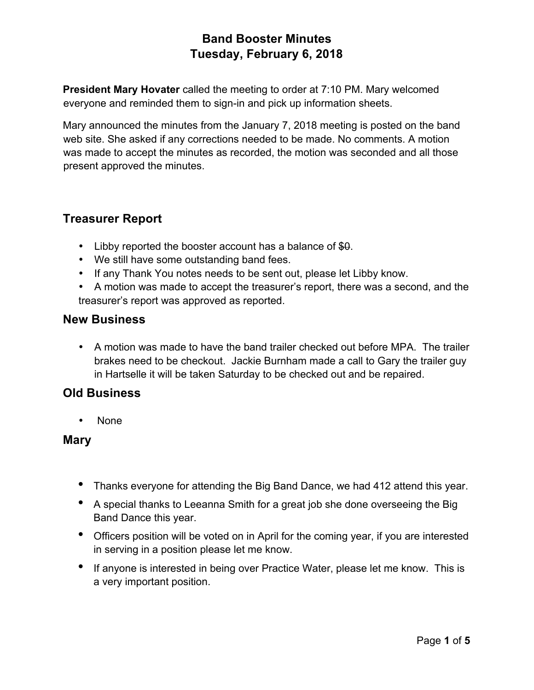**President Mary Hovater** called the meeting to order at 7:10 PM. Mary welcomed everyone and reminded them to sign-in and pick up information sheets.

Mary announced the minutes from the January 7, 2018 meeting is posted on the band web site. She asked if any corrections needed to be made. No comments. A motion was made to accept the minutes as recorded, the motion was seconded and all those present approved the minutes.

## **Treasurer Report**

- Libby reported the booster account has a balance of  $$0.$
- We still have some outstanding band fees.
- If any Thank You notes needs to be sent out, please let Libby know.
- A motion was made to accept the treasurer's report, there was a second, and the treasurer's report was approved as reported.

#### **New Business**

• A motion was made to have the band trailer checked out before MPA. The trailer brakes need to be checkout. Jackie Burnham made a call to Gary the trailer guy in Hartselle it will be taken Saturday to be checked out and be repaired.

#### **Old Business**

• None

#### **Mary**

- Thanks everyone for attending the Big Band Dance, we had 412 attend this year.
- A special thanks to Leeanna Smith for a great job she done overseeing the Big Band Dance this year.
- Officers position will be voted on in April for the coming year, if you are interested in serving in a position please let me know.
- If anyone is interested in being over Practice Water, please let me know. This is a very important position.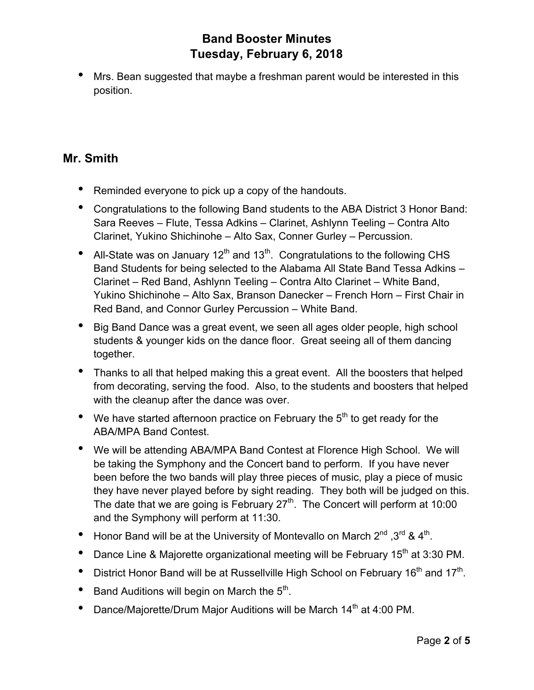• Mrs. Bean suggested that maybe a freshman parent would be interested in this position.

#### **Mr. Smith**

- Reminded everyone to pick up a copy of the handouts.
- Congratulations to the following Band students to the ABA District 3 Honor Band: Sara Reeves – Flute, Tessa Adkins – Clarinet, Ashlynn Teeling – Contra Alto Clarinet, Yukino Shichinohe – Alto Sax, Conner Gurley – Percussion.
- All-State was on January 12<sup>th</sup> and 13<sup>th</sup>. Congratulations to the following CHS Band Students for being selected to the Alabama All State Band Tessa Adkins – Clarinet – Red Band, Ashlynn Teeling – Contra Alto Clarinet – White Band, Yukino Shichinohe – Alto Sax, Branson Danecker – French Horn – First Chair in Red Band, and Connor Gurley Percussion – White Band.
- Big Band Dance was a great event, we seen all ages older people, high school students & younger kids on the dance floor. Great seeing all of them dancing together.
- Thanks to all that helped making this a great event. All the boosters that helped from decorating, serving the food. Also, to the students and boosters that helped with the cleanup after the dance was over.
- We have started afternoon practice on February the  $5<sup>th</sup>$  to get ready for the ABA/MPA Band Contest.
- We will be attending ABA/MPA Band Contest at Florence High School. We will be taking the Symphony and the Concert band to perform. If you have never been before the two bands will play three pieces of music, play a piece of music they have never played before by sight reading. They both will be judged on this. The date that we are going is February  $27<sup>th</sup>$ . The Concert will perform at 10:00 and the Symphony will perform at 11:30.
- Honor Band will be at the University of Montevallo on March  $2^{nd}$  .3<sup>rd</sup> & 4<sup>th</sup>.
- Dance Line & Majorette organizational meeting will be February 15<sup>th</sup> at 3:30 PM.
- District Honor Band will be at Russellville High School on February 16<sup>th</sup> and 17<sup>th</sup>.
- Band Auditions will begin on March the  $5<sup>th</sup>$ .
- Dance/Majorette/Drum Major Auditions will be March 14<sup>th</sup> at 4:00 PM.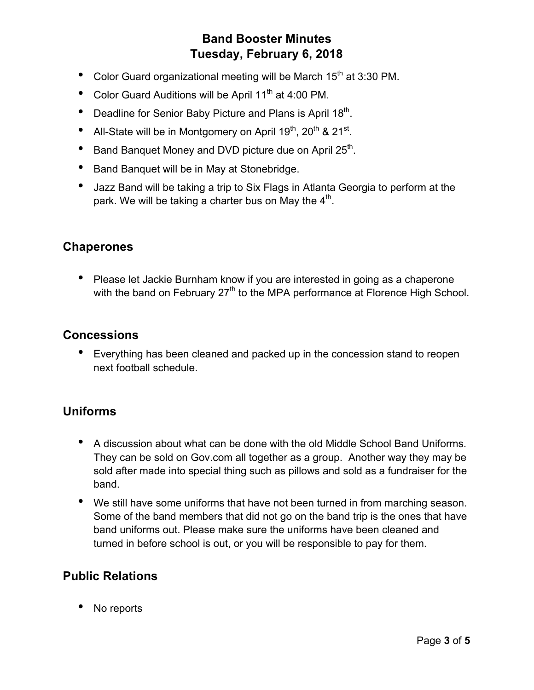- Color Guard organizational meeting will be March  $15<sup>th</sup>$  at 3:30 PM.
- Color Guard Auditions will be April 11<sup>th</sup> at 4:00 PM.
- Deadline for Senior Baby Picture and Plans is April 18<sup>th</sup>.
- All-State will be in Montgomery on April  $19^{th}$ ,  $20^{th}$  &  $21^{st}$ .
- Band Banquet Money and DVD picture due on April 25<sup>th</sup>.
- Band Banquet will be in May at Stonebridge.
- Jazz Band will be taking a trip to Six Flags in Atlanta Georgia to perform at the park. We will be taking a charter bus on May the  $4<sup>th</sup>$ .

#### **Chaperones**

• Please let Jackie Burnham know if you are interested in going as a chaperone with the band on February  $27<sup>th</sup>$  to the MPA performance at Florence High School.

### **Concessions**

• Everything has been cleaned and packed up in the concession stand to reopen next football schedule.

## **Uniforms**

- A discussion about what can be done with the old Middle School Band Uniforms. They can be sold on Gov.com all together as a group. Another way they may be sold after made into special thing such as pillows and sold as a fundraiser for the band.
- We still have some uniforms that have not been turned in from marching season. Some of the band members that did not go on the band trip is the ones that have band uniforms out. Please make sure the uniforms have been cleaned and turned in before school is out, or you will be responsible to pay for them.

## **Public Relations**

No reports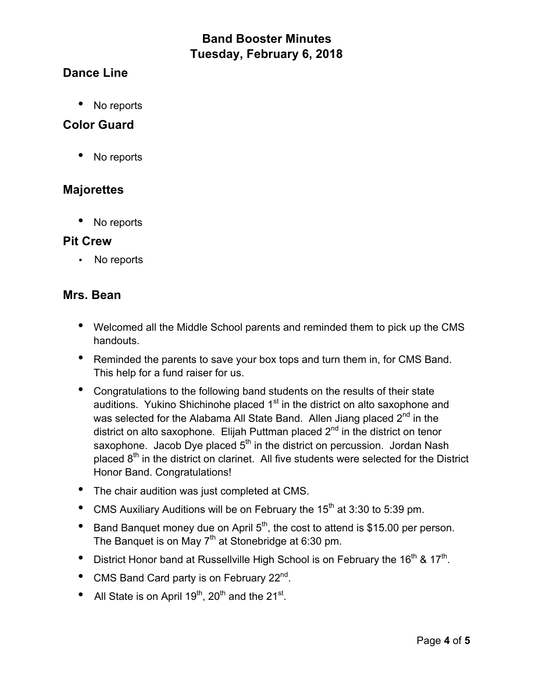## **Dance Line**

• No reports

### **Color Guard**

• No reports

#### **Majorettes**

• No reports

#### **Pit Crew**

• No reports

#### **Mrs. Bean**

- Welcomed all the Middle School parents and reminded them to pick up the CMS handouts.
- Reminded the parents to save your box tops and turn them in, for CMS Band. This help for a fund raiser for us.
- Congratulations to the following band students on the results of their state auditions. Yukino Shichinohe placed 1<sup>st</sup> in the district on alto saxophone and was selected for the Alabama All State Band. Allen Jiang placed 2<sup>nd</sup> in the district on alto saxophone. Elijah Puttman placed  $2<sup>nd</sup>$  in the district on tenor saxophone. Jacob Dye placed  $5<sup>th</sup>$  in the district on percussion. Jordan Nash placed  $8<sup>th</sup>$  in the district on clarinet. All five students were selected for the District Honor Band. Congratulations!
- The chair audition was just completed at CMS.
- CMS Auxiliary Auditions will be on February the  $15<sup>th</sup>$  at 3:30 to 5:39 pm.
- Band Banquet money due on April  $5<sup>th</sup>$ , the cost to attend is \$15.00 per person. The Banquet is on May 7<sup>th</sup> at Stonebridge at 6:30 pm.
- District Honor band at Russellville High School is on February the  $16^{th}$  &  $17^{th}$ .
- CMS Band Card party is on February 22<sup>nd</sup>.
- All State is on April  $19^{th}$ ,  $20^{th}$  and the  $21^{st}$ .